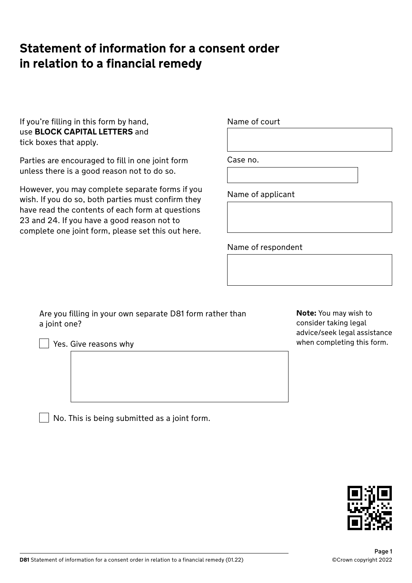# **Statement of information for a consent order in relation to a financial remedy**

If you're filling in this form by hand, use **BLOCK CAPITAL LETTERS** and tick boxes that apply.

Parties are encouraged to fill in one joint form unless there is a good reason not to do so.

However, you may complete separate forms if you wish. If you do so, both parties must confirm they have read the contents of each form at questions 23 and 24. If you have a good reason not to complete one joint form, please set this out here.

Name of court

Case no.

Name of applicant

Name of respondent

Are you filling in your own separate D81 form rather than a joint one?

 $\vert\ \vert$  Yes. Give reasons why

No. This is being submitted as a joint form.

**Note:** You may wish to consider taking legal advice/seek legal assistance when completing this form.

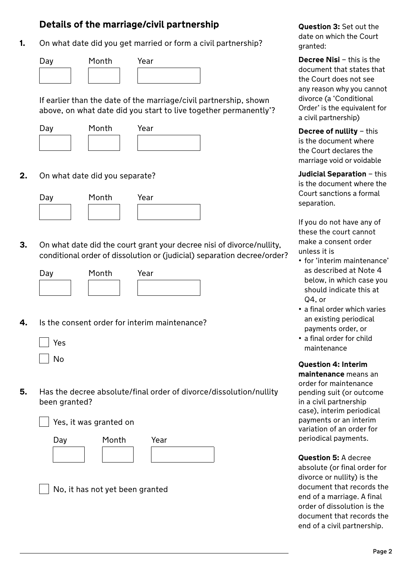# **Details of the marriage/civil partnership**

**1.** On what date did you get married or form a civil partnership?



If earlier than the date of the marriage/civil partnership, shown above, on what date did you start to live together permanently'?





**2.** On what date did you separate?



**3.** On what date did the court grant your decree nisi of divorce/nullity, conditional order of dissolution or (judicial) separation decree/order?



**4.** Is the consent order for interim maintenance?

| Yes    |
|--------|
| N<br>O |

**5.** Has the decree absolute/final order of divorce/dissolution/nullity been granted?

Yes, it was granted on

| Day | Month | Year |
|-----|-------|------|
|     |       |      |

No, it has not yet been granted

**Question 3:** Set out the date on which the Court granted:

**Decree Nisi** – this is the document that states that the Court does not see any reason why you cannot divorce (a 'Conditional Order' is the equivalent for a civil partnership)

**Decree of nullity** – this is the document where the Court declares the marriage void or voidable

**Judicial Separation** – this is the document where the Court sanctions a formal separation.

If you do not have any of these the court cannot make a consent order unless it is

- for 'interim maintenance' as described at Note 4 below, in which case you should indicate this at Q4, or
- a final order which varies an existing periodical payments order, or
- a final order for child maintenance

**Question 4: Interim maintenance** means an order for maintenance pending suit (or outcome in a civil partnership case), interim periodical payments or an interim variation of an order for periodical payments.

**Question 5:** A decree absolute (or final order for divorce or nullity) is the document that records the end of a marriage. A final order of dissolution is the document that records the end of a civil partnership.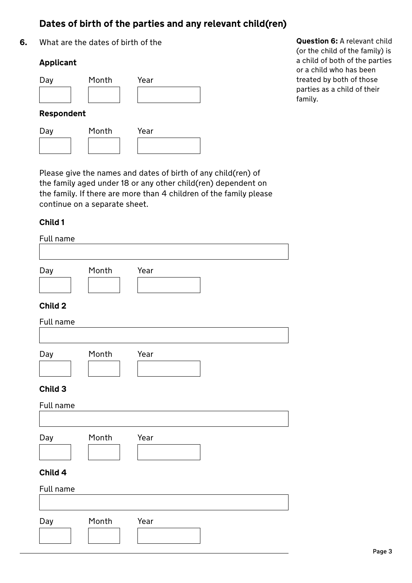# **Dates of birth of the parties and any relevant child(ren)**

**6.** What are the dates of birth of the

## **Applicant**

| Day        | Month | Year |  |  |
|------------|-------|------|--|--|
|            |       |      |  |  |
| Respondent |       |      |  |  |
| Day        | Month | Year |  |  |
|            |       |      |  |  |

**Question 6:** A relevant child (or the child of the family) is a child of both of the parties or a child who has been treated by both of those parties as a child of their family.

Please give the names and dates of birth of any child(ren) of the family aged under 18 or any other child(ren) dependent on the family. If there are more than 4 children of the family please continue on a separate sheet.

## **Child 1**

| Full name |       |      |  |  |  |
|-----------|-------|------|--|--|--|
|           |       |      |  |  |  |
| Day       | Month | Year |  |  |  |
|           |       |      |  |  |  |
| Child 2   |       |      |  |  |  |
| Full name |       |      |  |  |  |
|           |       |      |  |  |  |
| Day       | Month | Year |  |  |  |
|           |       |      |  |  |  |
| Child 3   |       |      |  |  |  |
| Full name |       |      |  |  |  |
|           |       |      |  |  |  |
| Day       | Month | Year |  |  |  |
|           |       |      |  |  |  |
| Child 4   |       |      |  |  |  |
|           |       |      |  |  |  |
| Full name |       |      |  |  |  |
|           |       |      |  |  |  |
| Day       | Month | Year |  |  |  |
|           |       |      |  |  |  |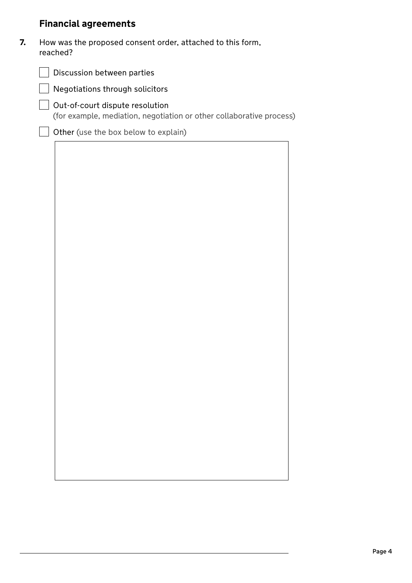# **Financial agreements**

| How was the proposed consent order, attached to this form, |
|------------------------------------------------------------|
| reached?                                                   |

| Discussion between parties                                                                              |  |  |  |  |
|---------------------------------------------------------------------------------------------------------|--|--|--|--|
| Negotiations through solicitors                                                                         |  |  |  |  |
| Out-of-court dispute resolution<br>(for example, mediation, negotiation or other collaborative process) |  |  |  |  |
| Other (use the box below to explain)                                                                    |  |  |  |  |
|                                                                                                         |  |  |  |  |
|                                                                                                         |  |  |  |  |
|                                                                                                         |  |  |  |  |
|                                                                                                         |  |  |  |  |
|                                                                                                         |  |  |  |  |
|                                                                                                         |  |  |  |  |
|                                                                                                         |  |  |  |  |
|                                                                                                         |  |  |  |  |
|                                                                                                         |  |  |  |  |
|                                                                                                         |  |  |  |  |
|                                                                                                         |  |  |  |  |
|                                                                                                         |  |  |  |  |
|                                                                                                         |  |  |  |  |
|                                                                                                         |  |  |  |  |
|                                                                                                         |  |  |  |  |
|                                                                                                         |  |  |  |  |
|                                                                                                         |  |  |  |  |
|                                                                                                         |  |  |  |  |
|                                                                                                         |  |  |  |  |
|                                                                                                         |  |  |  |  |
|                                                                                                         |  |  |  |  |
|                                                                                                         |  |  |  |  |
|                                                                                                         |  |  |  |  |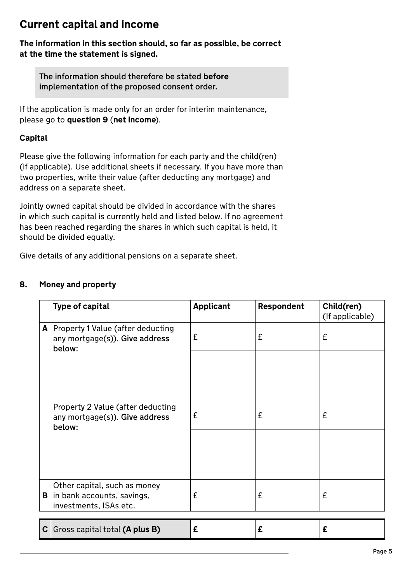# **Current capital and income**

**The information in this section should, so far as possible, be correct at the time the statement is signed.**

The information should therefore be stated **before** implementation of the proposed consent order.

If the application is made only for an order for interim maintenance, please go to **question 9** (**net income**).

## **Capital**

Please give the following information for each party and the child(ren) (if applicable). Use additional sheets if necessary. If you have more than two properties, write their value (after deducting any mortgage) and address on a separate sheet.

Jointly owned capital should be divided in accordance with the shares in which such capital is currently held and listed below. If no agreement has been reached regarding the shares in which such capital is held, it should be divided equally.

Give details of any additional pensions on a separate sheet.

## **8. Money and property**

|              | <b>Type of capital</b>                                                               | <b>Applicant</b> | Respondent | Child(ren)<br>(If applicable) |
|--------------|--------------------------------------------------------------------------------------|------------------|------------|-------------------------------|
|              | A   Property 1 Value (after deducting<br>any mortgage(s)). Give address<br>below:    | £                | £          | £                             |
|              |                                                                                      |                  |            |                               |
|              | Property 2 Value (after deducting<br>any mortgage(s)). Give address<br>below:        | £                | £          | £                             |
|              |                                                                                      |                  |            |                               |
| B            | Other capital, such as money<br>in bank accounts, savings,<br>investments, ISAs etc. | £                | £          | £                             |
| $\mathbf{C}$ | Gross capital total (A plus B)                                                       | £                | £          | £                             |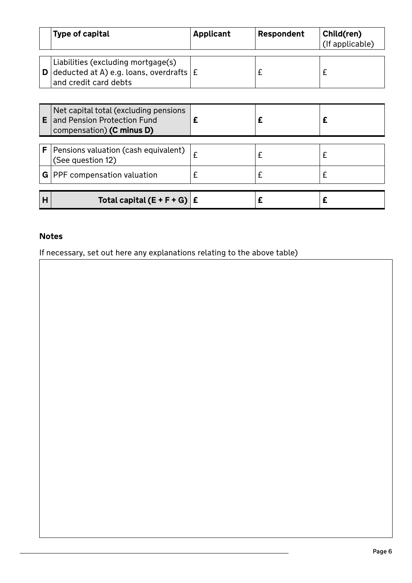|   | Type of capital                                                                                                   | <b>Applicant</b> | Respondent | Child(ren)<br>(If applicable) |
|---|-------------------------------------------------------------------------------------------------------------------|------------------|------------|-------------------------------|
|   | Liabilities (excluding mortgage(s)<br><b>D</b> deducted at A) e.g. loans, overdrafts $E$<br>and credit card debts |                  | £          | £                             |
|   |                                                                                                                   |                  |            |                               |
|   | Net capital total (excluding pensions<br><b>E</b> and Pension Protection Fund<br>compensation) (C minus D)        | £                |            | £                             |
| F | Pensions valuation (cash equivalent)<br>(See question 12)                                                         | £                | £          | £                             |
|   | $G$   PPF compensation valuation                                                                                  | £                | £          | £                             |
| н | Total capital $(E + F + G)$ $E$                                                                                   |                  |            | £                             |

# **Notes**

If necessary, set out here any explanations relating to the above table)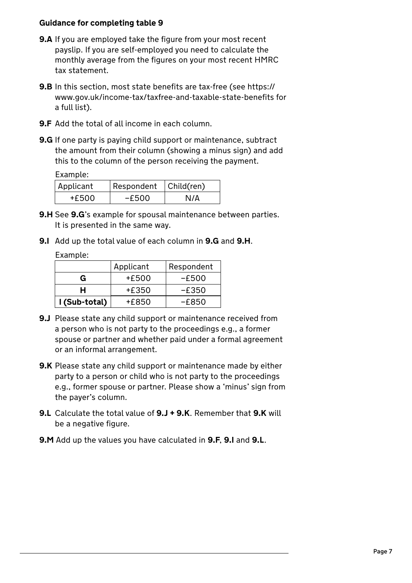### **Guidance for completing table 9**

- **9.A** If you are employed take the figure from your most recent payslip. If you are self-employed you need to calculate the monthly average from the figures on your most recent HMRC tax statement.
- **9.B** In this section, most state benefits are tax-free (see https:// www.gov.uk/income-tax/taxfree-and-taxable-state-benefits for a full list).
- **9.F** Add the total of all income in each column.
- **9.G** If one party is paying child support or maintenance, subtract the amount from their column (showing a minus sign) and add this to the column of the person receiving the payment.

Example:

| Applicant | Respondent   Child(ren) |     |
|-----------|-------------------------|-----|
| +£500     | -£500                   | N/A |

- **9.H** See **9.G**'s example for spousal maintenance between parties. It is presented in the same way.
- **9.I** Add up the total value of each column in **9.G** and **9.H**.

Example:

|               | Applicant | Respondent |
|---------------|-----------|------------|
| G             | +£500     | -£500      |
| н             | +£350     | -£350      |
| I (Sub-total) | +£850     | -6850      |

- **9.J** Please state any child support or maintenance received from a person who is not party to the proceedings e.g., a former spouse or partner and whether paid under a formal agreement or an informal arrangement.
- **9.K** Please state any child support or maintenance made by either party to a person or child who is not party to the proceedings e.g., former spouse or partner. Please show a 'minus' sign from the payer's column.
- **9.L** Calculate the total value of **9.J + 9.K**. Remember that **9.K** will be a negative figure.
- **9.M** Add up the values you have calculated in **9.F**, **9.I** and **9.L**.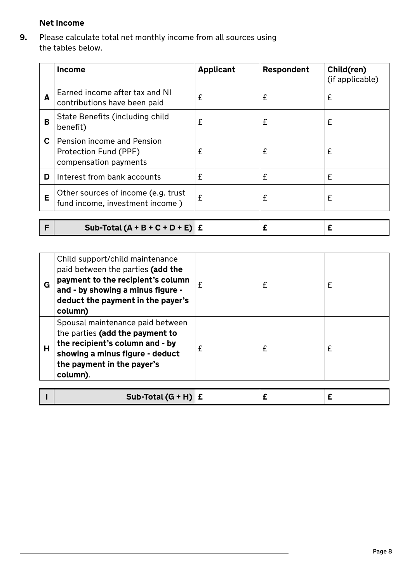# **Net Income**

**9.** Please calculate total net monthly income from all sources using the tables below.

|    | <b>Income</b>                                                                | <b>Applicant</b> | Respondent | Child(ren)<br>(if applicable) |
|----|------------------------------------------------------------------------------|------------------|------------|-------------------------------|
| A  | Earned income after tax and NI<br>contributions have been paid               | £                | £          | £                             |
| В  | State Benefits (including child<br>benefit)                                  | £                | £          | £                             |
| C. | Pension income and Pension<br>Protection Fund (PPF)<br>compensation payments | £                | £          | £                             |
| D  | Interest from bank accounts                                                  | £                | £          | £                             |
| E  | Other sources of income (e.g. trust<br>fund income, investment income)       | £                | £          | £                             |
|    |                                                                              |                  |            |                               |

| Sub-Total $(A + B + C + D + E)$ $E$ |
|-------------------------------------|
|-------------------------------------|

| G | Child support/child maintenance<br>paid between the parties (add the<br>payment to the recipient's column<br>and - by showing a minus figure -<br>deduct the payment in the payer's<br>column) |   | £ |  |
|---|------------------------------------------------------------------------------------------------------------------------------------------------------------------------------------------------|---|---|--|
| н | Spousal maintenance paid between<br>the parties (add the payment to<br>the recipient's column and - by<br>showing a minus figure - deduct<br>the payment in the payer's<br>column).            | £ | £ |  |
|   | Sub-Total $(G + H)$                                                                                                                                                                            |   |   |  |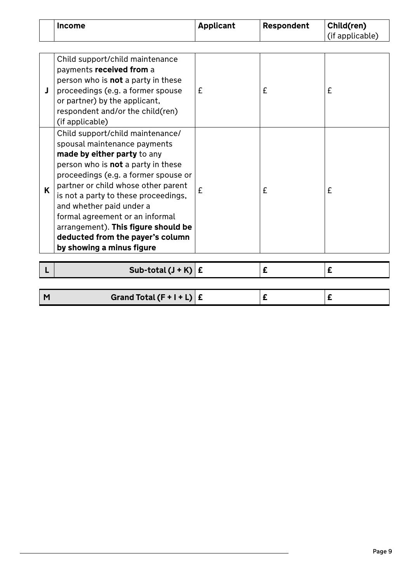| <b>Income</b> | Applicant | Respondent | Child(ren)      |
|---------------|-----------|------------|-----------------|
|               |           |            | (if applicable) |

|   | Child support/child maintenance<br>payments received from a<br>person who is <b>not</b> a party in these<br>proceedings (e.g. a former spouse<br>or partner) by the applicant,<br>respondent and/or the child(ren)<br>(if applicable)                                                                                                                                                                                                      | £ | £ | £ |
|---|--------------------------------------------------------------------------------------------------------------------------------------------------------------------------------------------------------------------------------------------------------------------------------------------------------------------------------------------------------------------------------------------------------------------------------------------|---|---|---|
| K | Child support/child maintenance/<br>spousal maintenance payments<br>made by either party to any<br>person who is <b>not</b> a party in these<br>proceedings (e.g. a former spouse or<br>partner or child whose other parent<br>is not a party to these proceedings,<br>and whether paid under a<br>formal agreement or an informal<br>arrangement). This figure should be<br>deducted from the payer's column<br>by showing a minus figure | £ | £ | £ |
|   | Sub-total $(J + K)$ $E$                                                                                                                                                                                                                                                                                                                                                                                                                    |   | £ | £ |

| Grand Total $(F + I + L)$ $E$ |  |  |
|-------------------------------|--|--|
|                               |  |  |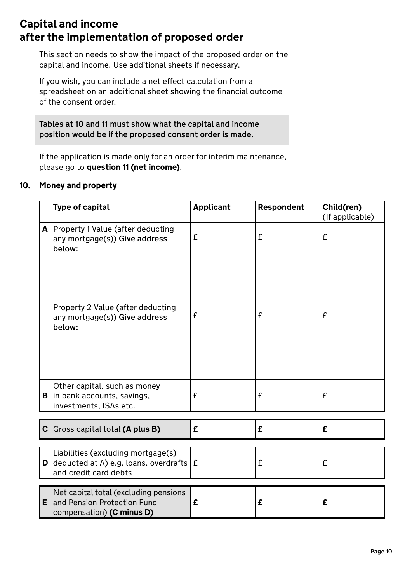# **Capital and income after the implementation of proposed order**

This section needs to show the impact of the proposed order on the capital and income. Use additional sheets if necessary.

If you wish, you can include a net effect calculation from a spreadsheet on an additional sheet showing the financial outcome of the consent order.

Tables at 10 and 11 must show what the capital and income position would be if the proposed consent order is made.

If the application is made only for an order for interim maintenance, please go to **question 11 (net income)**.

## **10. Money and property**

|   | <b>Type of capital</b>                                                                                            | <b>Applicant</b> | Respondent | Child(ren)<br>(If applicable) |
|---|-------------------------------------------------------------------------------------------------------------------|------------------|------------|-------------------------------|
|   | A   Property 1 Value (after deducting<br>any mortgage(s)) Give address<br>below:                                  | £                | £          | £                             |
|   |                                                                                                                   |                  |            |                               |
|   | Property 2 Value (after deducting<br>any mortgage(s)) Give address<br>below:                                      | £                | £          | £                             |
|   |                                                                                                                   |                  |            |                               |
|   | Other capital, such as money<br><b>B</b> in bank accounts, savings,<br>investments, ISAs etc.                     | £                | £          | £                             |
|   | C $G$ Gross capital total (A plus B)                                                                              | £                | £          | £                             |
|   | Liabilities (excluding mortgage(s)<br><b>D</b> deducted at A) e.g. loans, overdrafts $E$<br>and credit card debts |                  | £          | £                             |
| Е | Net capital total (excluding pensions<br>and Pension Protection Fund<br>compensation) (C minus D)                 | £                | £          | £                             |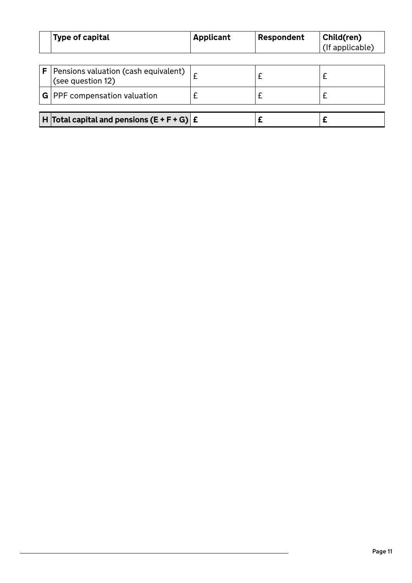|   | Type of capital                                           | <b>Applicant</b> | Respondent | Child(ren)<br>(If applicable) |
|---|-----------------------------------------------------------|------------------|------------|-------------------------------|
|   |                                                           |                  |            |                               |
| F | Pensions valuation (cash equivalent)<br>(see question 12) |                  |            |                               |
|   | $G$   PPF compensation valuation                          |                  |            |                               |
|   |                                                           |                  |            |                               |
|   | H Total capital and pensions $(E + F + G)$ $E$            |                  |            |                               |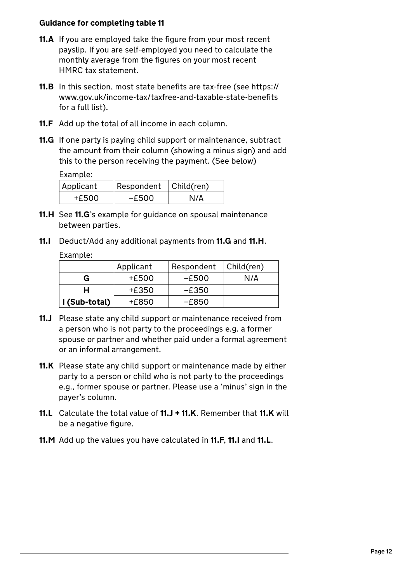### **Guidance for completing table 11**

- **11.A** If you are employed take the figure from your most recent payslip. If you are self-employed you need to calculate the monthly average from the figures on your most recent HMRC tax statement.
- **11.B** In this section, most state benefits are tax-free (see https:// www.gov.uk/income-tax/taxfree-and-taxable-state-benefits for a full list).
- **11.F** Add up the total of all income in each column.
- **11.G** If one party is paying child support or maintenance, subtract the amount from their column (showing a minus sign) and add this to the person receiving the payment. (See below)

Example:

| Applicant | Respondent   Child(ren) |     |
|-----------|-------------------------|-----|
| +£500     | -£500                   | N/A |

- **11.H** See **11.G**'s example for guidance on spousal maintenance between parties.
- **11.I** Deduct/Add any additional payments from **11.G** and **11.H**.

Example:

|               | Applicant | Respondent | Child(ren) |
|---------------|-----------|------------|------------|
| G             | +£500     | $-E500$    | N/A        |
| н             | +£350     | $-E350$    |            |
| I (Sub-total) | +£850     | -£850      |            |

- **11.J** Please state any child support or maintenance received from a person who is not party to the proceedings e.g. a former spouse or partner and whether paid under a formal agreement or an informal arrangement.
- **11.K** Please state any child support or maintenance made by either party to a person or child who is not party to the proceedings e.g., former spouse or partner. Please use a 'minus' sign in the payer's column.
- **11.L** Calculate the total value of **11.J + 11.K**. Remember that **11.K** will be a negative figure.
- **11.M** Add up the values you have calculated in **11.F**, **11.I** and **11.L**.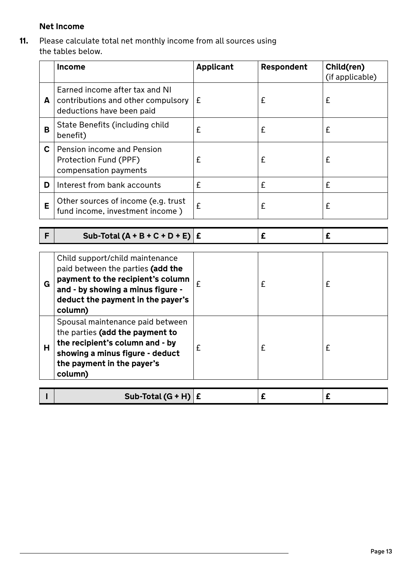## **Net Income**

**11.** Please calculate total net monthly income from all sources using the tables below.

|              | Income                                                                                                                                                                                         | <b>Applicant</b> | Respondent | Child(ren)<br>(if applicable) |
|--------------|------------------------------------------------------------------------------------------------------------------------------------------------------------------------------------------------|------------------|------------|-------------------------------|
| A            | Earned income after tax and NI<br>contributions and other compulsory<br>deductions have been paid                                                                                              | £                | £          | £                             |
| B            | State Benefits (including child<br>benefit)                                                                                                                                                    | £                | £          | £                             |
| $\mathbf{C}$ | Pension income and Pension<br>Protection Fund (PPF)<br>compensation payments                                                                                                                   | £                | £          | £                             |
| D            | Interest from bank accounts                                                                                                                                                                    | £                | £          | £                             |
| Е            | Other sources of income (e.g. trust<br>fund income, investment income)                                                                                                                         | £                | £          | £                             |
| F            | Sub-Total $(A + B + C + D + E)$ $E$                                                                                                                                                            |                  | £          | £                             |
|              |                                                                                                                                                                                                |                  |            |                               |
|              |                                                                                                                                                                                                |                  |            |                               |
| G            | Child support/child maintenance<br>paid between the parties (add the<br>payment to the recipient's column<br>and - by showing a minus figure -<br>deduct the payment in the payer's<br>column) | £                | £          | £                             |
| н            | Spousal maintenance paid between<br>the parties (add the payment to<br>the recipient's column and - by<br>showing a minus figure - deduct<br>the payment in the payer's<br>column)             | £                | £          | £                             |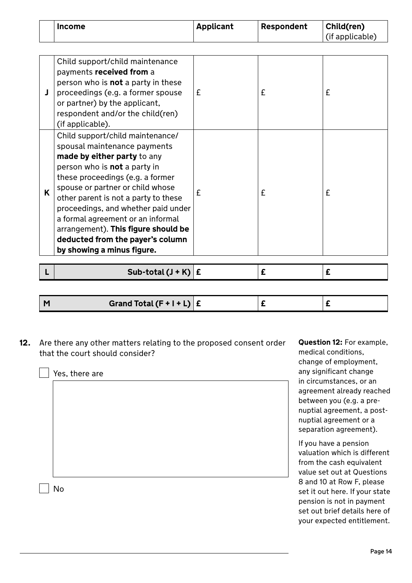| <b>Income</b> | <b>Applicant</b> | Respondent | Child(ren)      |
|---------------|------------------|------------|-----------------|
|               |                  |            | (if applicable) |

|   | Child support/child maintenance<br>payments received from a<br>person who is <b>not</b> a party in these<br>proceedings (e.g. a former spouse<br>or partner) by the applicant,<br>respondent and/or the child(ren)<br>(if applicable).                                                                                                                                                                                                      | £ | £ | £ |
|---|---------------------------------------------------------------------------------------------------------------------------------------------------------------------------------------------------------------------------------------------------------------------------------------------------------------------------------------------------------------------------------------------------------------------------------------------|---|---|---|
| K | Child support/child maintenance/<br>spousal maintenance payments<br>made by either party to any<br>person who is <b>not</b> a party in<br>these proceedings (e.g. a former<br>spouse or partner or child whose<br>other parent is not a party to these<br>proceedings, and whether paid under<br>a formal agreement or an informal<br>arrangement). This figure should be<br>deducted from the payer's column<br>by showing a minus figure. | £ | £ | £ |

|  |  | Sub-total $(J + K)$ $E$ |  |  |  |
|--|--|-------------------------|--|--|--|
|--|--|-------------------------|--|--|--|

| Grand Total $(F + I + L)   E$<br>N |  |  |
|------------------------------------|--|--|
|                                    |  |  |

**12.** Are there any other matters relating to the proposed consent order that the court should consider?

Yes, there are No

**Question 12:** For example, medical conditions, change of employment, any significant change in circumstances, or an agreement already reached between you (e.g. a prenuptial agreement, a postnuptial agreement or a separation agreement).

If you have a pension valuation which is different from the cash equivalent value set out at Questions 8 and 10 at Row F, please set it out here. If your state pension is not in payment set out brief details here of your expected entitlement.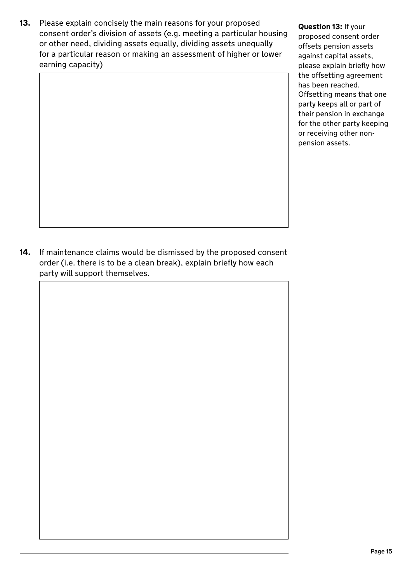**13.** Please explain concisely the main reasons for your proposed consent order's division of assets (e.g. meeting a particular housing or other need, dividing assets equally, dividing assets unequally for a particular reason or making an assessment of higher or lower earning capacity)

**Question 13:** If your proposed consent order offsets pension assets against capital assets, please explain briefly how the offsetting agreement has been reached. Offsetting means that one party keeps all or part of their pension in exchange for the other party keeping or receiving other nonpension assets.

**14.** If maintenance claims would be dismissed by the proposed consent order (i.e. there is to be a clean break), explain briefly how each party will support themselves.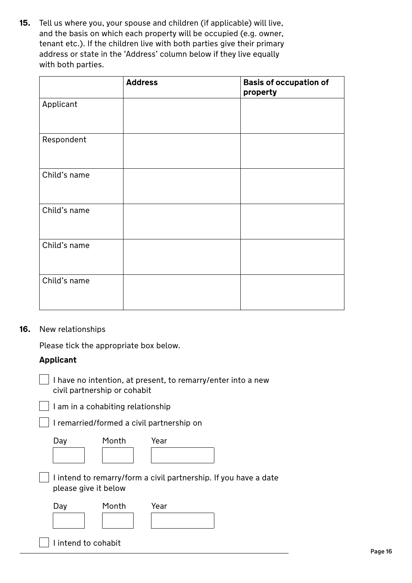**15.** Tell us where you, your spouse and children (if applicable) will live, and the basis on which each property will be occupied (e.g. owner, tenant etc.). If the children live with both parties give their primary address or state in the 'Address' column below if they live equally with both parties.

|              | <b>Address</b> | <b>Basis of occupation of</b><br>property |
|--------------|----------------|-------------------------------------------|
| Applicant    |                |                                           |
| Respondent   |                |                                           |
| Child's name |                |                                           |
| Child's name |                |                                           |
| Child's name |                |                                           |
| Child's name |                |                                           |

#### **16.** New relationships

Please tick the appropriate box below.

#### **Applicant**

 $\vert$  I have no intention, at present, to remarry/enter into a new civil partnership or cohabit

 $\Box$  I am in a cohabiting relationship

I remarried/formed a civil partnership on

| Day | Month | Year |
|-----|-------|------|
|     |       |      |

 $\Box$  I intend to remarry/form a civil partnership. If you have a date please give it below

| Day                 | Month | Year |  |
|---------------------|-------|------|--|
|                     |       |      |  |
|                     |       |      |  |
| I intend to cohabit |       |      |  |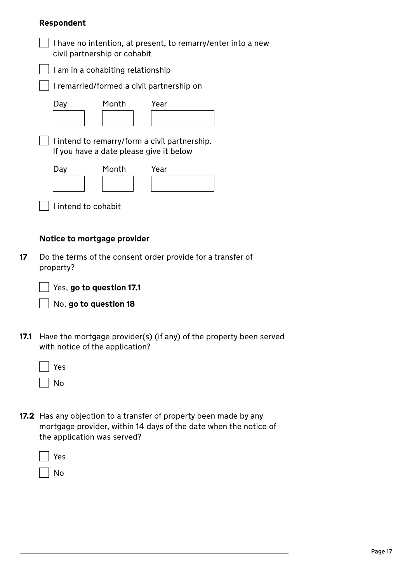#### **Respondent**

| civil partnership or cohabit            | I have no intention, at present, to remarry/enter into a new |
|-----------------------------------------|--------------------------------------------------------------|
| I am in a cohabiting relationship       |                                                              |
|                                         | I remarried/formed a civil partnership on                    |
| Month<br>Day                            | Year                                                         |
| If you have a date please give it below | I intend to remarry/form a civil partnership.                |
| Month<br>Day                            | Year                                                         |
| I intend to cohabit                     |                                                              |
| Notice to mortgage provider             |                                                              |

- **17** Do the terms of the consent order provide for a transfer of property?
	- Yes, **go to question 17.1**

No, **go to question 18**

**17.1** Have the mortgage provider(s) (if any) of the property been served with notice of the application?

| Yes |
|-----|
| Јი  |

**17.2** Has any objection to a transfer of property been made by any mortgage provider, within 14 days of the date when the notice of the application was served?

No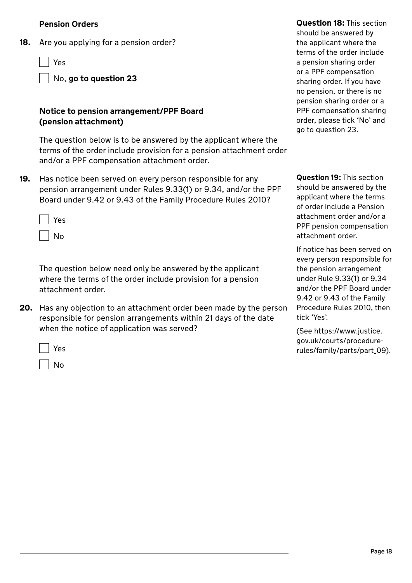#### **Pension Orders**

**18.** Are you applying for a pension order?

Yes

No, **go to question 23**

#### **Notice to pension arrangement/PPF Board (pension attachment)**

The question below is to be answered by the applicant where the terms of the order include provision for a pension attachment order and/or a PPF compensation attachment order.

**19.** Has notice been served on every person responsible for any pension arrangement under Rules 9.33(1) or 9.34, and/or the PPF Board under 9.42 or 9.43 of the Family Procedure Rules 2010?

| Yes |
|-----|
| No  |

The question below need only be answered by the applicant where the terms of the order include provision for a pension attachment order.

**20.** Has any objection to an attachment order been made by the person responsible for pension arrangements within 21 days of the date when the notice of application was served?

Yes

No

**Question 18:** This section should be answered by the applicant where the terms of the order include a pension sharing order or a PPF compensation sharing order. If you have no pension, or there is no pension sharing order or a PPF compensation sharing order, please tick 'No' and go to question 23.

**Question 19:** This section should be answered by the applicant where the terms of order include a Pension attachment order and/or a PPF pension compensation attachment order.

If notice has been served on every person responsible for the pension arrangement under Rule 9.33(1) or 9.34 and/or the PPF Board under 9.42 or 9.43 of the Family Procedure Rules 2010, then tick 'Yes'.

(See https://www.justice. gov.uk/courts/procedurerules/family/parts/part\_09).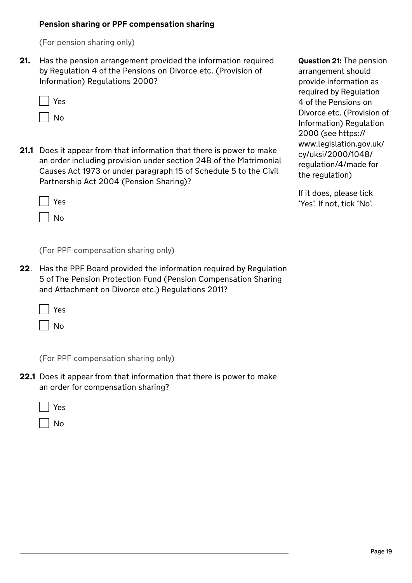#### **Pension sharing or PPF compensation sharing**

(For pension sharing only)

**21.** Has the pension arrangement provided the information required by Regulation 4 of the Pensions on Divorce etc. (Provision of Information) Regulations 2000?

| Yes    |
|--------|
| N<br>O |

**21.1** Does it appear from that information that there is power to make an order including provision under section 24B of the Matrimonial Causes Act 1973 or under paragraph 15 of Schedule 5 to the Civil Partnership Act 2004 (Pension Sharing)?

Yes

 $\overline{\phantom{a}}$  No

(For PPF compensation sharing only)

**22**. Has the PPF Board provided the information required by Regulation 5 of The Pension Protection Fund (Pension Compensation Sharing and Attachment on Divorce etc.) Regulations 2011?

Yes

No

(For PPF compensation sharing only)

**22.1** Does it appear from that information that there is power to make an order for compensation sharing?

|  | ۰, |
|--|----|
|--|----|

No

**Question 21:** The pension arrangement should provide information as required by Regulation 4 of the Pensions on Divorce etc. (Provision of Information) Regulation 2000 (see https:// www.legislation.gov.uk/ cy/uksi/2000/1048/ regulation/4/made for the regulation)

If it does, please tick 'Yes'. If not, tick 'No'.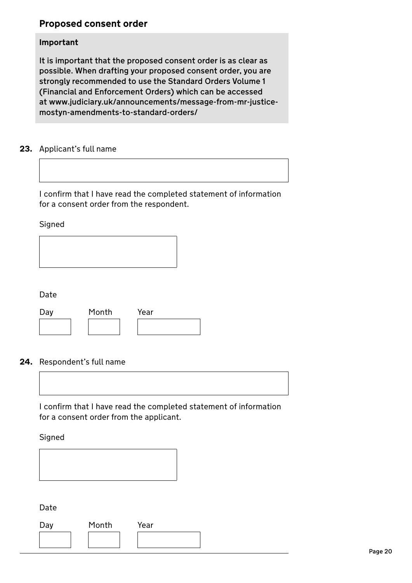# **Proposed consent order**

#### **Important**

It is important that the proposed consent order is as clear as possible. When drafting your proposed consent order, you are strongly recommended to use the Standard Orders Volume 1 (Financial and Enforcement Orders) which can be accessed at www.judiciary.uk/announcements/message-from-mr-justicemostyn-amendments-to-standard-orders/

### **23.** Applicant's full name

I confirm that I have read the completed statement of information for a consent order from the respondent.

Signed

| I<br>. .<br>×<br>×<br>×<br>۰. |
|-------------------------------|
|-------------------------------|

| Day | Month | Year |  |
|-----|-------|------|--|
|     |       |      |  |

#### **24.** Respondent's full name



I confirm that I have read the completed statement of information for a consent order from the applicant.

Signed



Date

| Day | Month | Year |
|-----|-------|------|
|     |       |      |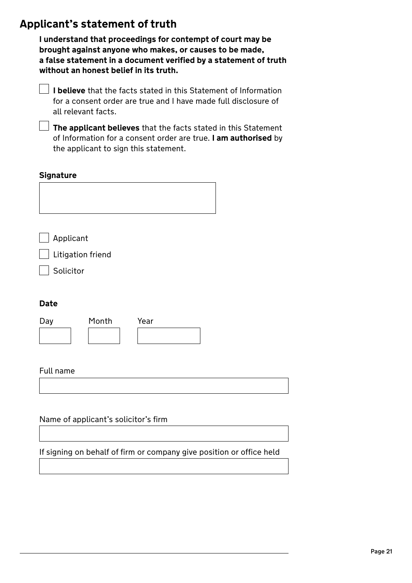# **Applicant's statement of truth**

**I understand that proceedings for contempt of court may be brought against anyone who makes, or causes to be made, a false statement in a document verified by a statement of truth without an honest belief in its truth.** 

| $\perp$ <b>I believe</b> that the facts stated in this Statement of Information |
|---------------------------------------------------------------------------------|
| for a consent order are true and I have made full disclosure of                 |
| all relevant facts.                                                             |

**The applicant believes** that the facts stated in this Statement of Information for a consent order are true. **I am authorised** by the applicant to sign this statement.

### **Signature**

Applicant

| Litigation friend

Solicitor

## **Date**

| Day | Month | Year |  |
|-----|-------|------|--|
|     |       |      |  |

#### Full name

Name of applicant's solicitor's firm

If signing on behalf of firm or company give position or office held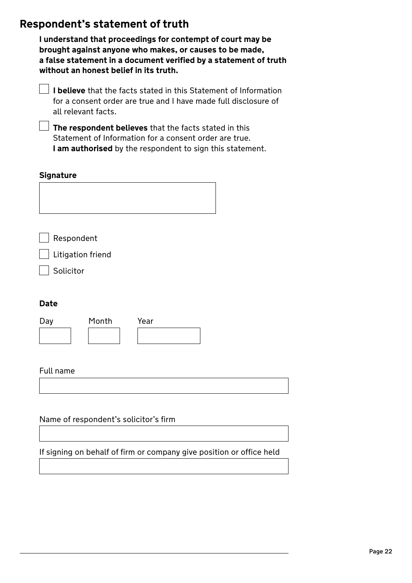# **Respondent's statement of truth**

**I understand that proceedings for contempt of court may be brought against anyone who makes, or causes to be made, a false statement in a document verified by a statement of truth without an honest belief in its truth.** 

**I believe** that the facts stated in this Statement of Information for a consent order are true and I have made full disclosure of all relevant facts.

**The respondent believes** that the facts stated in this Statement of Information for a consent order are true. **I am authorised** by the respondent to sign this statement.

#### **Signature**

Respondent

Litigation friend

Solicitor

#### **Date**

| Day | Month | Year |  |
|-----|-------|------|--|
|     |       |      |  |

#### Full name

Name of respondent's solicitor's firm

If signing on behalf of firm or company give position or office held